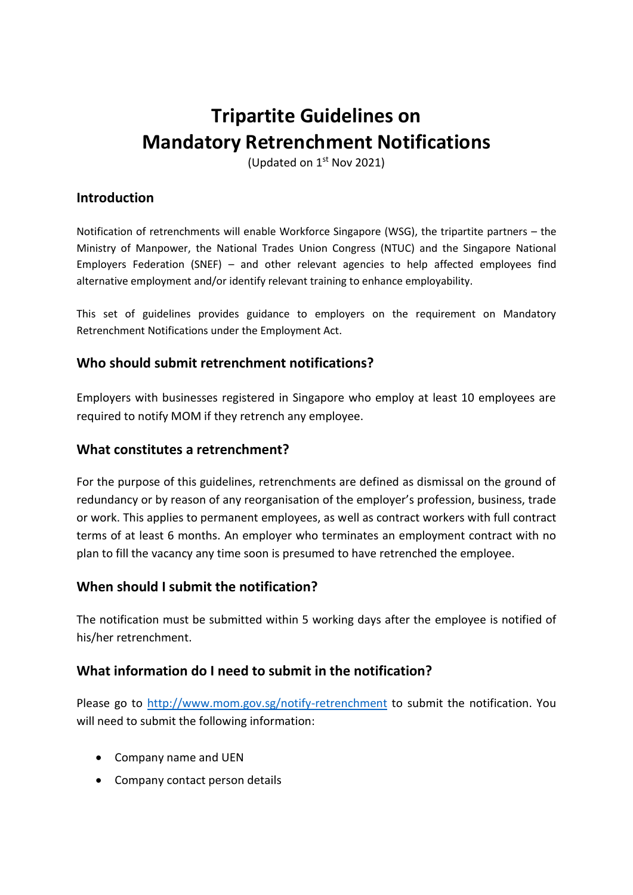# **Tripartite Guidelines on Mandatory Retrenchment Notifications**

(Updated on 1<sup>st</sup> Nov 2021)

## **Introduction**

Notification of retrenchments will enable Workforce Singapore (WSG), the tripartite partners – the Ministry of Manpower, the National Trades Union Congress (NTUC) and the Singapore National Employers Federation (SNEF) – and other relevant agencies to help affected employees find alternative employment and/or identify relevant training to enhance employability.

This set of guidelines provides guidance to employers on the requirement on Mandatory Retrenchment Notifications under the Employment Act.

### **Who should submit retrenchment notifications?**

Employers with businesses registered in Singapore who employ at least 10 employees are required to notify MOM if they retrench any employee.

#### **What constitutes a retrenchment?**

For the purpose of this guidelines, retrenchments are defined as dismissal on the ground of redundancy or by reason of any reorganisation of the employer's profession, business, trade or work. This applies to permanent employees, as well as contract workers with full contract terms of at least 6 months. An employer who terminates an employment contract with no plan to fill the vacancy any time soon is presumed to have retrenched the employee.

#### **When should I submit the notification?**

The notification must be submitted within 5 working days after the employee is notified of his/her retrenchment.

#### **What information do I need to submit in the notification?**

Please go to<http://www.mom.gov.sg/notify-retrenchment> to submit the notification. You will need to submit the following information:

- Company name and UEN
- Company contact person details